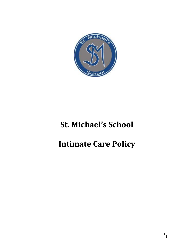

# **St. Michael's School**

# **Intimate Care Policy**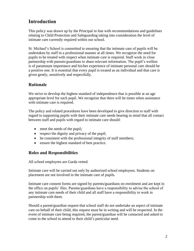# **Introduction**

This policy was drawn up by the Principal in line with recommendations and guidelines relating to Child Protection and Safeguarding taking into consideration the level of intimate care currently required within our school.

St. Michael's School is committed to ensuring that the intimate care of pupils will be undertaken by staff in a professional manner at all times. We recognize the need for pupils to be treated with respect when intimate care is required. Staff work in close partnership with parents/guardians to share relevant information. The pupil's welfare is of paramount importance and his/her experience of intimate personal care should be a positive one. It is essential that every pupil is treated as an individual and that care is given gently, sensitively and respectfully.

#### **Rationale**

We strive to develop the highest standard of independence that is possible at an age appropriate level for each pupil. We recognize that there will be times when assistance with intimate care is required.

The policy and related procedures have been developed to give direction to staff with regard to supporting pupils with their intimate care needs bearing in mind that all contact between staff and pupils with regard to intimate care should:

- meet the needs of the pupil;
- respect the dignity and privacy of the pupil;
- be consistent with the professional integrity of staff members;
- ensure the highest standard of best practice.

#### **Roles and Responsibilities**

All school employees are Garda vetted.

Intimate care will be carried out only by authorized school employees. Students on placement are not involved in the intimate care of pupils.

Intimate care consent forms are signed by parents/guardians on enrolment and are kept in the office on pupils' files. Parents/guardians have a responsibility to advise the school of any intimate care needs of their child and all staff have a responsibility to work in partnership with them.

Should a parent/guardian request that school staff do not undertake an aspect of intimate care on behalf of their child, this request must be in writing and will be respected. In the event of intimate care being required, the parent/guardian will be contacted and asked to come to the school to attend to their child's particular need.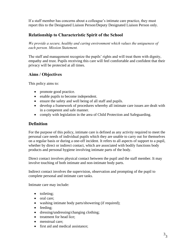If a staff member has concerns about a colleague's intimate care practice, they must report this to the Designated Liaison Person/Deputy Designated Liaison Person only.

#### **Relationship to Characteristic Spirit of the School**

*We provide a secure, healthy and caring environment which values the uniqueness of each person. Mission Statement.*

The staff and management recognize the pupils' rights and will treat them with dignity, empathy and trust. Pupils receiving this care will feel comfortable and confident that their privacy will be protected at all times.

#### **Aims / Objectives**

This policy aims to:

- promote good practice.
- enable pupils to become independent.
- ensure the safety and well being of all staff and pupils.
- develop a framework of procedures whereby all intimate care issues are dealt with in a competent and safe manner.
- comply with legislation in the area of Child Protection and Safeguarding.

#### **Definition**

For the purpose of this policy, intimate care is defined as any activity required to meet the personal care needs of individual pupils which they are unable to carry out for themselves on a regular basis or during a one-off incident. It refers to all aspects of support to a pupil, whether by direct or indirect contact, which are associated with bodily functions body products and personal hygiene involving intimate parts of the body.

Direct contact involves physical contact between the pupil and the staff member. It may involve touching of both intimate and non-intimate body parts.

Indirect contact involves the supervision, observation and prompting of the pupil to complete personal and intimate care tasks.

Intimate care may include:

- toileting;
- oral care;
- washing intimate body parts/showering (if required);
- feeding;
- dressing/undressing/changing clothing;
- treatment for head lice:
- menstrual care:
- first aid and medical assistance;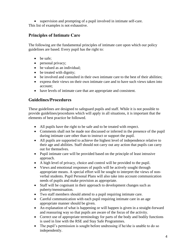• supervision and prompting of a pupil involved in intimate self-care. This list of examples is not exhaustive.

# **Principles of Intimate Care**

The following are the fundamental principles of intimate care upon which our policy guidelines are based. Every pupil has the right to:

- be safe;
- personal privacy;
- be valued as an individual;
- be treated with dignity;
- be involved and consulted in their own intimate care to the best of their abilities;
- express their views on their own intimate care and to have such views taken into account;
- have levels of intimate care that are appropriate and consistent.

## **Guidelines/Procedures**

These guidelines are designed to safeguard pupils and staff. While it is not possible to provide guidelines/procedures which will apply in all situations, it is important that the elements of best practice be followed.

- All pupils have the right to be safe and to be treated with respect.
- Comments shall not be made nor discussed or inferred in the presence of the pupil during intimate care other than to instruct or support the pupil.
- All pupils are supported to achieve the highest level of independence relative to their age and abilities. Staff should not carry out any action that pupils can carry out for themselves.
- Pupil intimate care will be provided based on the principle of least intrusive approach.
- A high level of privacy, choice and control will be provided to the pupil.
- Views and emotional responses of pupils will be actively sought through appropriate means. A special effort will be sought to interpret the views of nonverbal students. Pupil Personal Plans will also take into account communication needs of pupils and make provision as appropriate.
- Staff will be cognisant in their approach to development changes such as puberty/menstruation.
- Two staff members should attend to a pupil requiring intimate care.
- Careful communication with each pupil requiring intimate care in an age appropriate manner should be given.
- An explanation of what is happening or will happen is given in a straight-forward and reassuring way so that pupils are aware of the focus of the activity.
- Correct use of appropriate terminology for parts of the body and bodily functions is used in line with the RSE and Stay Safe Programmes.
- The pupil's permission is sought before undressing if he/she is unable to do so independently.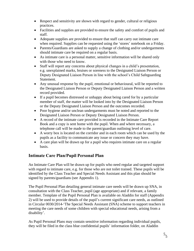- Respect and sensitivity are shown with regard to gender, cultural or religious practices.
- Facilities and supplies are provided to ensure the safety and comfort of pupils and staff.
- Adequate supplies are provided to ensure that staff can carry out intimate care when required. Supplies can be requested using the 'stores' notebook on a Friday.
- Parents/Guardians are asked to supply a change of clothing and/or undergarments should intimate care be required on a regular basis.
- As intimate care is a personal matter, sensitive information will be shared only with those who need to know.
- Staff will report any concerns about physical changes in a child's presentation, e.g. unexplained marks, bruises or soreness to the Designated Liaison Person or Deputy Designated Liaison Person in line with the school's Child Safeguarding Statement.
- Any unusual response by the pupil, emotional or behavioural, will be reported to the Designated Liaison Person or Deputy Designated Liaison Person and a written record provided.
- If a pupil becomes distressed or unhappy about being cared for by a particular member of staff, the matter will be looked into by the Designated Liaison Person or the Deputy Designated Liaison Person and the outcomes recorded.
- Poor hygiene and/or unclean undergarments must be noted and reported to the Designated Liaison Person or Deputy Designated Liaison Person.
- A record of the intimate care provided is recorded in the Intimate Care Report Book and a copy is sent home with the pupil. When and where necessary, a telephone call will be made to the parent/guardian outlining level of care.
- A worry box is located on the corridor and in each room which can be used by the pupils as a facility to communicate any issue or concern they may have.
- A care plan will be drawn up for a pupil who requires intimate care on a regular basis.

# **Intimate Care Plan/Pupil Personal Plan**

An Intimate Care Plan will be drawn up for pupils who need regular and targeted support with regard to intimate care, e.g. for those who are not toilet trained. These pupils will be identified by the Class Teacher and Special Needs Assistant and this plan should be signed by parents/guardians (see Appendix 1).

The Pupil Personal Plan detailing general intimate care needs will be drawn up SNA, in consultation with the Class Teacher, pupil (age appropriate) and if relevant, a family member. Template of the Pupil Personal Plan is available on Aladdin for staff (Appendix 2) will be used to provide details of the pupil's current significant care needs, as outlined in Circular 0030/2014-'The Special Needs Assistant (SNA) scheme to support teachers in meeting the care needs of some children with special educational needs, arising from a disability'.

As Pupil Personal Plans may contain sensitive information regarding individual pupils, they will be filed in the class blue confidential pupils' information folder, on Aladdin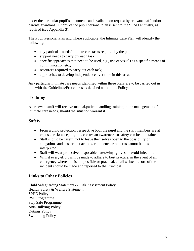under the particular pupil's documents and available on request by relevant staff and/or parents/guardians. A copy of the pupil personal plan is sent to the SENO annually, as required (see Appendix 3).

The Pupil Personal Plan and where applicable, the Intimate Care Plan will identify the following:

- any particular needs/intimate care tasks required by the pupil;
- support needs to carry out each task;
- specific approaches that need to be used, e.g., use of visuals as a specific means of communication etc.;
- resources required to carry out each task;
- approaches to develop independence over time in this area.

Any particular intimate care needs identified within these plans are to be carried out in line with the Guidelines/Procedures as detailed within this Policy.

## **Training**

All relevant staff will receive manual/patient handling training in the management of intimate care needs, should the situation warrant it.

#### **Safety**

- From a child protection perspective both the pupil and the staff members are at exposed risk; accepting this creates an awareness so safety can be maintained.
- Staff should be careful not to leave themselves open to the possibility of allegations and ensure that actions, comments or remarks cannot be misinterpreted.
- Staff will wear protective, disposable, latex/vinyl gloves to avoid infection.
- Whilst every effort will be made to adhere to best practice, in the event of an emergency where this is not possible or practical, a full written record of the incident should be made and reported to the Principal.

#### **Links to Other Policies**

Child Safeguarding Statement & Risk Assessment Policy Health, Safety & Welfare Statement SPHE Policy RSE Programme Stay Safe Programme Anti-Bullying Policy Outings Policy Swimming Policy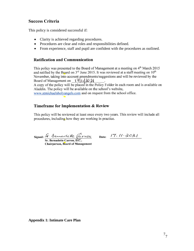#### **Success Criteria**

This policy is considered successful if:

- Clarity is achieved regarding procedures.
- Procedures are clear and roles and responsibilities defined.
- From experience, staff and pupil are confident with the procedures as outlined.

#### **Ratification and Communication**

This policy was presented to the Board of Management at a meeting on 4<sup>th</sup> March 2015 and ratified by the Board on 3<sup>rd</sup> June 2015. It was reviewed at a staff meeting on 10<sup>th</sup> November, taking into account amendments/suggestions and will be reviewed by the Board of Management on  $17$  (1) 2021

A copy of the policy will be placed in the Policy Folder in each room and is available on Aladdin. The policy will be available on the school's website,

www.stmichaelsholvangels.com and on request from the school office.

#### Timeframe for Implementation & Review

This policy will be reviewed at least once every two years. This review will include all procedures, including how they are working in practice.

Signed: F. Bemarle He Carrou

Chairperson, Board of Management

Date:  $17.11.2021$ 

**Appendix 1: Intimate Care Plan**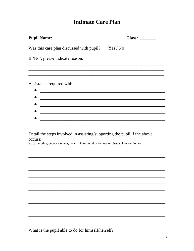# **Intimate Care Plan**

| <b>Pupil Name:</b>                                                                    |  | Class: |  |
|---------------------------------------------------------------------------------------|--|--------|--|
|                                                                                       |  |        |  |
| Was this care plan discussed with pupil? Yes / No<br>If 'No', please indicate reason: |  |        |  |
|                                                                                       |  |        |  |
| Assistance required with:                                                             |  |        |  |
|                                                                                       |  |        |  |
|                                                                                       |  |        |  |
|                                                                                       |  |        |  |

## Detail the steps involved in assisting/supporting the pupil if the above occurs:

e.g. prompting, encouragement, means of communication, use of visuals, intervention etc.

What is the pupil able to do for himself/herself?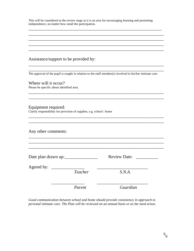This will be considered at the review stage as it is an area for encouraging learning and promoting independence, no matter how small the participation.

\_\_\_\_\_\_\_\_\_\_\_\_\_\_\_\_\_\_\_\_\_\_\_\_\_\_\_\_\_\_\_\_\_\_\_\_\_\_\_\_\_\_\_\_\_\_\_\_\_\_\_\_\_\_\_\_\_\_\_\_ \_\_\_\_\_\_\_\_\_\_\_\_\_\_\_\_\_\_\_\_\_\_\_\_\_\_\_\_\_\_\_\_\_\_\_\_\_\_\_\_\_\_\_\_\_\_\_\_\_\_\_\_\_\_\_\_\_\_\_\_\_ \_\_\_\_\_\_\_\_\_\_\_\_\_\_\_\_\_\_\_\_\_\_\_\_\_\_\_\_\_\_\_\_\_\_\_\_\_\_\_\_\_\_\_\_\_\_\_\_\_\_\_\_\_\_\_\_\_\_\_\_\_ \_\_\_\_\_\_\_\_\_\_\_\_\_\_\_\_\_\_\_\_\_\_\_\_\_\_\_\_\_\_\_\_\_\_\_\_\_\_\_\_\_\_\_\_\_\_\_\_\_\_\_\_\_\_\_\_\_\_\_\_\_ \_\_\_\_\_\_\_\_\_\_\_\_\_\_\_\_\_\_\_\_\_\_\_\_\_\_\_\_\_\_\_\_\_\_\_\_\_\_\_\_\_\_\_\_\_\_\_\_\_\_\_\_\_\_\_\_\_\_\_\_\_

#### Assistance/support to be provided by:

The approval of the pupil is sought in relation to the staff member(s) involved in his/her intimate care.

\_\_\_\_\_\_\_\_\_\_\_\_\_\_\_\_\_\_\_\_\_\_\_\_\_\_\_\_\_\_\_\_\_\_\_\_\_\_\_\_\_\_\_\_\_\_\_\_\_\_\_\_\_\_\_\_\_\_\_\_\_

\_\_\_\_\_\_\_\_\_\_\_\_\_\_\_\_\_\_\_\_\_\_\_\_\_\_\_\_\_\_\_\_\_\_\_\_\_\_\_\_\_\_\_\_\_\_\_\_\_\_\_\_\_\_\_\_\_\_\_\_\_ \_\_\_\_\_\_\_\_\_\_\_\_\_\_\_\_\_\_\_\_\_\_\_\_\_\_\_\_\_\_\_\_\_\_\_\_\_\_\_\_\_\_\_\_\_\_\_\_\_\_\_\_\_\_\_\_\_\_\_\_\_

\_\_\_\_\_\_\_\_\_\_\_\_\_\_\_\_\_\_\_\_\_\_\_\_\_\_\_\_\_\_\_\_\_\_\_\_\_\_\_\_\_\_\_\_\_\_\_\_\_\_\_\_\_\_\_\_\_\_\_\_\_ \_\_\_\_\_\_\_\_\_\_\_\_\_\_\_\_\_\_\_\_\_\_\_\_\_\_\_\_\_\_\_\_\_\_\_\_\_\_\_\_\_\_\_\_\_\_\_\_\_\_\_\_\_\_\_\_\_\_\_\_\_

 $\_$  ,  $\_$  ,  $\_$  ,  $\_$  ,  $\_$  ,  $\_$  ,  $\_$  ,  $\_$  ,  $\_$  ,  $\_$  ,  $\_$  ,  $\_$  ,  $\_$  ,  $\_$  ,  $\_$  ,  $\_$  ,  $\_$ 

Where will it occur? Please be specific about identified area.

Equipment required: Clarify responsibility for provision of supplies, e.g. school / home

Any other comments:

| Date plan drawn up:            | <b>Review Date:</b> |
|--------------------------------|---------------------|
| Agreed by: $\qquad$<br>Teacher | S.N.A.              |
| Parent                         | Guardian            |

*Good communication between school and home should provide consistency in approach to personal intimate care. The Plan will be reviewed on an annual basis or as the need arises.*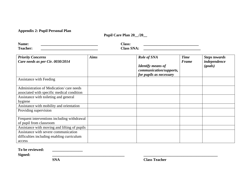**Appendix 2: Pupil Personal Plan**

**Pupil Care Plan 20\_\_/20\_\_**

| <b>BT</b><br><b>Name</b> | $\bigcap$ ass:       |  |
|--------------------------|----------------------|--|
| m<br>$'$ oo ob om        | $\gamma$ lass<br>VЛ. |  |

| <b>Priority Concerns</b><br>Care needs as per Cir. 0030/2014                          | <b>Aims</b> | Role of SNA<br><b>Identify means of</b><br>communication/supports, | <b>Time</b><br><b>Frame</b> | <b>Steps towards</b><br>independence<br>(goals) |
|---------------------------------------------------------------------------------------|-------------|--------------------------------------------------------------------|-----------------------------|-------------------------------------------------|
|                                                                                       |             | for pupils as necessary                                            |                             |                                                 |
| Assistance with Feeding                                                               |             |                                                                    |                             |                                                 |
| Administration of Medication/care needs<br>associated with specific medical condition |             |                                                                    |                             |                                                 |
| Assistance with toileting and general                                                 |             |                                                                    |                             |                                                 |
| hygiene                                                                               |             |                                                                    |                             |                                                 |
| Assistance with mobility and orientation                                              |             |                                                                    |                             |                                                 |
| Providing supervision                                                                 |             |                                                                    |                             |                                                 |
|                                                                                       |             |                                                                    |                             |                                                 |
| Frequent interventions including withdrawal                                           |             |                                                                    |                             |                                                 |
| of pupil from classroom                                                               |             |                                                                    |                             |                                                 |
| Assistance with moving and lifting of pupils                                          |             |                                                                    |                             |                                                 |
| Assistance with severe communication                                                  |             |                                                                    |                             |                                                 |
| difficulties including enabling curriculum                                            |             |                                                                    |                             |                                                 |
| access                                                                                |             |                                                                    |                             |                                                 |

**To be reviewed: \_\_\_\_\_\_\_\_\_\_\_\_\_\_\_\_**

**Signed: \_\_\_\_\_\_\_\_\_\_\_\_\_\_\_\_\_\_\_\_\_\_\_\_\_\_\_\_\_\_\_\_\_\_\_\_\_\_ \_\_\_\_\_\_\_\_\_\_\_\_\_\_\_\_\_\_\_\_\_\_\_\_\_\_\_\_\_\_\_\_\_\_\_\_\_\_\_**

**SNA Class Teacher**